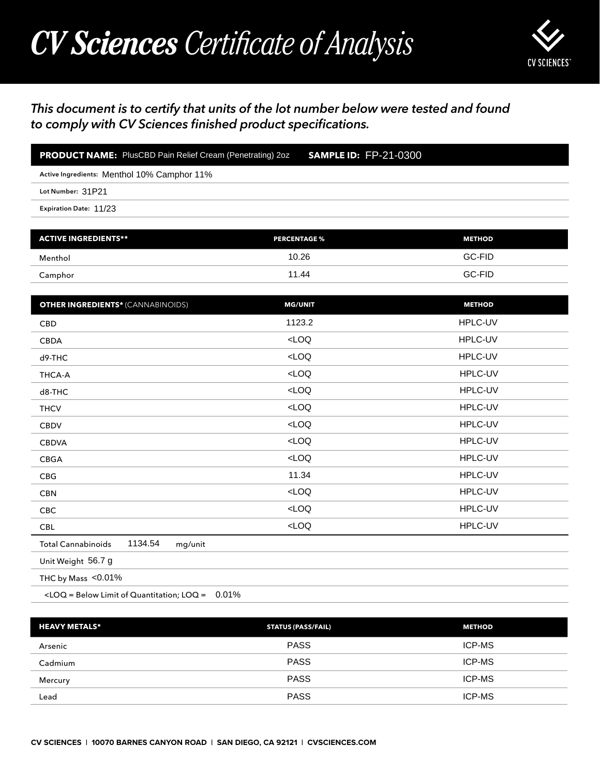## *CV Sciences Certificate of Analysis*



## *This document is to certify that units of the lot number below were tested and found to comply with CV Sciences finished product specifications.*

| <b>PRODUCT NAME:</b> PlusCBD Pain Relief Cream (Penetrating) 2oz | <b>SAMPLE ID: FP-21-0300</b> |
|------------------------------------------------------------------|------------------------------|
| Active Ingredients: Menthol 10% Camphor 11%                      |                              |
| Lot Number: 31P21                                                |                              |
| Expiration Date: 11/23                                           |                              |
|                                                                  |                              |

| <b>ACTIVE INGREDIENTS**</b> | <b>PERCENTAGE %</b> | <b>METHOD</b> |
|-----------------------------|---------------------|---------------|
| Menthol                     | 10.26               | GC-FID        |
| Camphor                     | 11.44               | GC-FID        |

| <b>PRODUCT NAME:</b> PlusCBD Pain Relief Cream (Penetrating) 2oz<br><b>SAMPLE ID: FP-21-0300</b> |                           |               |  |
|--------------------------------------------------------------------------------------------------|---------------------------|---------------|--|
| Active Ingredients: Menthol 10% Camphor 11%                                                      |                           |               |  |
| Lot Number: 31P21                                                                                |                           |               |  |
| Expiration Date: 11/23                                                                           |                           |               |  |
|                                                                                                  |                           |               |  |
| <b>ACTIVE INGREDIENTS**</b>                                                                      | <b>PERCENTAGE %</b>       | <b>METHOD</b> |  |
| Menthol                                                                                          | 10.26                     | GC-FID        |  |
| Camphor                                                                                          | 11.44                     | GC-FID        |  |
| <b>OTHER INGREDIENTS* (CANNABINOIDS)</b>                                                         | <b>MG/UNIT</b>            | <b>METHOD</b> |  |
| CBD                                                                                              | 1123.2                    | HPLC-UV       |  |
| <b>CBDA</b>                                                                                      | $<$ LOQ                   | HPLC-UV       |  |
| d9-THC                                                                                           | LOO                       | HPLC-UV       |  |
| THCA-A                                                                                           | $<$ LOQ                   | HPLC-UV       |  |
| d8-THC                                                                                           | LOO                       | HPLC-UV       |  |
| <b>THCV</b>                                                                                      | LOO                       | HPLC-UV       |  |
| <b>CBDV</b>                                                                                      | LOO                       | HPLC-UV       |  |
| <b>CBDVA</b>                                                                                     | LOO                       | HPLC-UV       |  |
| CBGA                                                                                             | LOO                       | HPLC-UV       |  |
| CBG                                                                                              | 11.34                     | HPLC-UV       |  |
| <b>CBN</b>                                                                                       | $<$ LOQ                   | HPLC-UV       |  |
| CBC                                                                                              | LOO                       | HPLC-UV       |  |
| CBL                                                                                              | $<$ LOQ                   | HPLC-UV       |  |
| 1134.54<br><b>Total Cannabinoids</b><br>mg/unit                                                  |                           |               |  |
| Unit Weight 56.7 g                                                                               |                           |               |  |
| THC by Mass <0.01%                                                                               |                           |               |  |
| $\angle$ LOQ = Below Limit of Quantitation; LOQ = 0.01%                                          |                           |               |  |
| <b>HEAVY METALS*</b>                                                                             | <b>STATUS (PASS/FAIL)</b> | <b>METHOD</b> |  |
| Arsenic                                                                                          | <b>PASS</b>               | ICP-MS        |  |
| Cadmium                                                                                          | <b>PASS</b>               | ICP-MS        |  |
| Mercury                                                                                          | <b>PASS</b>               | ICP-MS        |  |

| <b>HEAVY METALS*</b> | <b>STATUS (PASS/FAIL)</b> | <b>METHOD</b> |
|----------------------|---------------------------|---------------|
| Arsenic              | <b>PASS</b>               | ICP-MS        |
| Cadmium              | <b>PASS</b>               | ICP-MS        |
| Mercury              | <b>PASS</b>               | ICP-MS        |
| Lead                 | <b>PASS</b>               | <b>ICP-MS</b> |